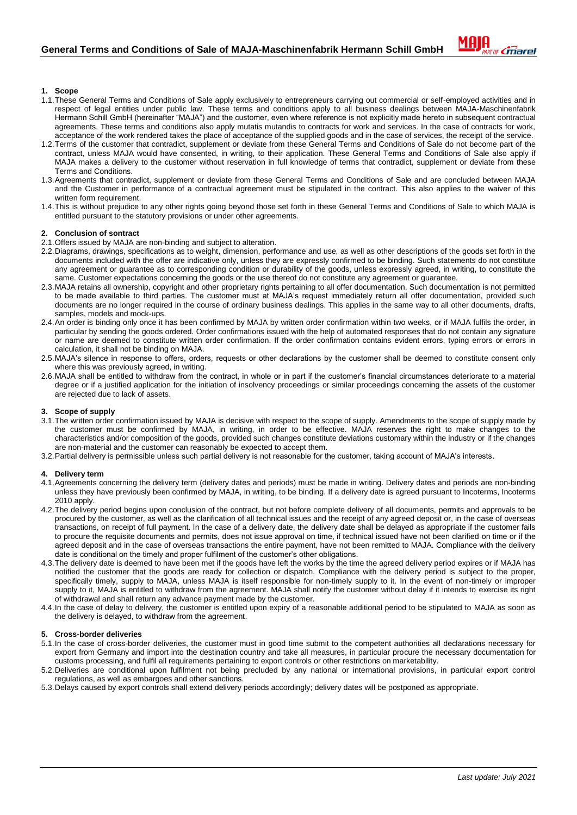

# **1. Scope**

- 1.1.These General Terms and Conditions of Sale apply exclusively to entrepreneurs carrying out commercial or self-employed activities and in respect of legal entities under public law. These terms and conditions apply to all business dealings between MAJA-Maschinenfabrik Hermann Schill GmbH (hereinafter "MAJA") and the customer, even where reference is not explicitly made hereto in subsequent contractual agreements. These terms and conditions also apply mutatis mutandis to contracts for work and services. In the case of contracts for work, acceptance of the work rendered takes the place of acceptance of the supplied goods and in the case of services, the receipt of the service.
- 1.2.Terms of the customer that contradict, supplement or deviate from these General Terms and Conditions of Sale do not become part of the contract, unless MAJA would have consented, in writing, to their application. These General Terms and Conditions of Sale also apply if MAJA makes a delivery to the customer without reservation in full knowledge of terms that contradict, supplement or deviate from these Terms and Conditions.
- 1.3.Agreements that contradict, supplement or deviate from these General Terms and Conditions of Sale and are concluded between MAJA and the Customer in performance of a contractual agreement must be stipulated in the contract. This also applies to the waiver of this written form requirement.
- 1.4.This is without prejudice to any other rights going beyond those set forth in these General Terms and Conditions of Sale to which MAJA is entitled pursuant to the statutory provisions or under other agreements.

#### **2. Conclusion of sontract**

- 2.1.Offers issued by MAJA are non-binding and subject to alteration.
- 2.2.Diagrams, drawings, specifications as to weight, dimension, performance and use, as well as other descriptions of the goods set forth in the documents included with the offer are indicative only, unless they are expressly confirmed to be binding. Such statements do not constitute any agreement or guarantee as to corresponding condition or durability of the goods, unless expressly agreed, in writing, to constitute the same. Customer expectations concerning the goods or the use thereof do not constitute any agreement or guarantee.
- 2.3.MAJA retains all ownership, copyright and other proprietary rights pertaining to all offer documentation. Such documentation is not permitted to be made available to third parties. The customer must at MAJA's request immediately return all offer documentation, provided such documents are no longer required in the course of ordinary business dealings. This applies in the same way to all other documents, drafts, samples, models and mock-ups.
- 2.4.An order is binding only once it has been confirmed by MAJA by written order confirmation within two weeks, or if MAJA fulfils the order, in particular by sending the goods ordered. Order confirmations issued with the help of automated responses that do not contain any signature or name are deemed to constitute written order confirmation. If the order confirmation contains evident errors, typing errors or errors in calculation, it shall not be binding on MAJA.
- 2.5.MAJA's silence in response to offers, orders, requests or other declarations by the customer shall be deemed to constitute consent only where this was previously agreed, in writing.
- 2.6.MAJA shall be entitled to withdraw from the contract, in whole or in part if the customer's financial circumstances deteriorate to a material degree or if a justified application for the initiation of insolvency proceedings or similar proceedings concerning the assets of the customer are rejected due to lack of assets.

#### **3. Scope of supply**

- 3.1.The written order confirmation issued by MAJA is decisive with respect to the scope of supply. Amendments to the scope of supply made by the customer must be confirmed by MAJA, in writing, in order to be effective. MAJA reserves the right to make changes to the characteristics and/or composition of the goods, provided such changes constitute deviations customary within the industry or if the changes are non-material and the customer can reasonably be expected to accept them.
- 3.2.Partial delivery is permissible unless such partial delivery is not reasonable for the customer, taking account of MAJA's interests.

#### **4. Delivery term**

- 4.1.Agreements concerning the delivery term (delivery dates and periods) must be made in writing. Delivery dates and periods are non-binding unless they have previously been confirmed by MAJA, in writing, to be binding. If a delivery date is agreed pursuant to Incoterms, Incoterms 2010 apply.
- 4.2.The delivery period begins upon conclusion of the contract, but not before complete delivery of all documents, permits and approvals to be procured by the customer, as well as the clarification of all technical issues and the receipt of any agreed deposit or, in the case of overseas transactions, on receipt of full payment. In the case of a delivery date, the delivery date shall be delayed as appropriate if the customer fails to procure the requisite documents and permits, does not issue approval on time, if technical issued have not been clarified on time or if the agreed deposit and in the case of overseas transactions the entire payment, have not been remitted to MAJA. Compliance with the delivery date is conditional on the timely and proper fulfilment of the customer's other obligations.
- 4.3.The delivery date is deemed to have been met if the goods have left the works by the time the agreed delivery period expires or if MAJA has notified the customer that the goods are ready for collection or dispatch. Compliance with the delivery period is subject to the proper, specifically timely, supply to MAJA, unless MAJA is itself responsible for non-timely supply to it. In the event of non-timely or improper supply to it, MAJA is entitled to withdraw from the agreement. MAJA shall notify the customer without delay if it intends to exercise its right of withdrawal and shall return any advance payment made by the customer.
- 4.4.In the case of delay to delivery, the customer is entitled upon expiry of a reasonable additional period to be stipulated to MAJA as soon as the delivery is delayed, to withdraw from the agreement.

#### **5. Cross-border deliveries**

- 5.1.In the case of cross-border deliveries, the customer must in good time submit to the competent authorities all declarations necessary for export from Germany and import into the destination country and take all measures, in particular procure the necessary documentation for customs processing, and fulfil all requirements pertaining to export controls or other restrictions on marketability.
- 5.2.Deliveries are conditional upon fulfilment not being precluded by any national or international provisions, in particular export control regulations, as well as embargoes and other sanctions.
- 5.3.Delays caused by export controls shall extend delivery periods accordingly; delivery dates will be postponed as appropriate.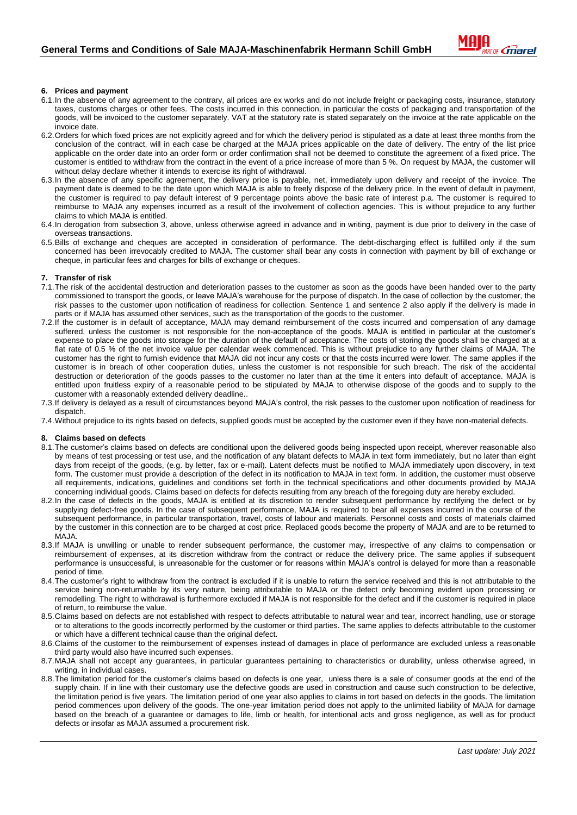

### **6. Prices and payment**

- 6.1.In the absence of any agreement to the contrary, all prices are ex works and do not include freight or packaging costs, insurance, statutory taxes, customs charges or other fees. The costs incurred in this connection, in particular the costs of packaging and transportation of the goods, will be invoiced to the customer separately. VAT at the statutory rate is stated separately on the invoice at the rate applicable on the invoice date.
- 6.2.Orders for which fixed prices are not explicitly agreed and for which the delivery period is stipulated as a date at least three months from the conclusion of the contract, will in each case be charged at the MAJA prices applicable on the date of delivery. The entry of the list price applicable on the order date into an order form or order confirmation shall not be deemed to constitute the agreement of a fixed price. The customer is entitled to withdraw from the contract in the event of a price increase of more than 5 %. On request by MAJA, the customer will without delay declare whether it intends to exercise its right of withdrawal.
- 6.3.In the absence of any specific agreement, the delivery price is payable, net, immediately upon delivery and receipt of the invoice. The payment date is deemed to be the date upon which MAJA is able to freely dispose of the delivery price. In the event of default in payment, the customer is required to pay default interest of 9 percentage points above the basic rate of interest p.a. The customer is required to reimburse to MAJA any expenses incurred as a result of the involvement of collection agencies. This is without prejudice to any further claims to which MAJA is entitled.
- 6.4.In derogation from subsection 3, above, unless otherwise agreed in advance and in writing, payment is due prior to delivery in the case of overseas transactions.
- 6.5.Bills of exchange and cheques are accepted in consideration of performance. The debt-discharging effect is fulfilled only if the sum concerned has been irrevocably credited to MAJA. The customer shall bear any costs in connection with payment by bill of exchange or cheque, in particular fees and charges for bills of exchange or cheques.

#### **7. Transfer of risk**

- 7.1.The risk of the accidental destruction and deterioration passes to the customer as soon as the goods have been handed over to the party commissioned to transport the goods, or leave MAJA's warehouse for the purpose of dispatch. In the case of collection by the customer, the risk passes to the customer upon notification of readiness for collection. Sentence 1 and sentence 2 also apply if the delivery is made in parts or if MAJA has assumed other services, such as the transportation of the goods to the customer.
- 7.2.If the customer is in default of acceptance, MAJA may demand reimbursement of the costs incurred and compensation of any damage suffered, unless the customer is not responsible for the non-acceptance of the goods. MAJA is entitled in particular at the customer's expense to place the goods into storage for the duration of the default of acceptance. The costs of storing the goods shall be charged at a flat rate of 0.5 % of the net invoice value per calendar week commenced. This is without prejudice to any further claims of MAJA. The customer has the right to furnish evidence that MAJA did not incur any costs or that the costs incurred were lower. The same applies if the customer is in breach of other cooperation duties, unless the customer is not responsible for such breach. The risk of the accidental destruction or deterioration of the goods passes to the customer no later than at the time it enters into default of acceptance. MAJA is entitled upon fruitless expiry of a reasonable period to be stipulated by MAJA to otherwise dispose of the goods and to supply to the customer with a reasonably extended delivery deadline..
- 7.3.If delivery is delayed as a result of circumstances beyond MAJA's control, the risk passes to the customer upon notification of readiness for dispatch.
- 7.4.Without prejudice to its rights based on defects, supplied goods must be accepted by the customer even if they have non-material defects.

# **8. Claims based on defects**

- 8.1.The customer's claims based on defects are conditional upon the delivered goods being inspected upon receipt, wherever reasonable also by means of test processing or test use, and the notification of any blatant defects to MAJA in text form immediately, but no later than eight days from receipt of the goods, (e.g. by letter, fax or e-mail). Latent defects must be notified to MAJA immediately upon discovery, in text form. The customer must provide a description of the defect in its notification to MAJA in text form. In addition, the customer must observe all requirements, indications, guidelines and conditions set forth in the technical specifications and other documents provided by MAJA concerning individual goods. Claims based on defects for defects resulting from any breach of the foregoing duty are hereby excluded.
- 8.2.In the case of defects in the goods, MAJA is entitled at its discretion to render subsequent performance by rectifying the defect or by supplying defect-free goods. In the case of subsequent performance, MAJA is required to bear all expenses incurred in the course of the subsequent performance, in particular transportation, travel, costs of labour and materials. Personnel costs and costs of materials claimed by the customer in this connection are to be charged at cost price. Replaced goods become the property of MAJA and are to be returned to MA.IA.
- 8.3.If MAJA is unwilling or unable to render subsequent performance, the customer may, irrespective of any claims to compensation or reimbursement of expenses, at its discretion withdraw from the contract or reduce the delivery price. The same applies if subsequent performance is unsuccessful, is unreasonable for the customer or for reasons within MAJA's control is delayed for more than a reasonable period of time.
- 8.4.The customer's right to withdraw from the contract is excluded if it is unable to return the service received and this is not attributable to the service being non-returnable by its very nature, being attributable to MAJA or the defect only becoming evident upon processing or remodelling. The right to withdrawal is furthermore excluded if MAJA is not responsible for the defect and if the customer is required in place of return, to reimburse the value.
- 8.5.Claims based on defects are not established with respect to defects attributable to natural wear and tear, incorrect handling, use or storage or to alterations to the goods incorrectly performed by the customer or third parties. The same applies to defects attributable to the customer or which have a different technical cause than the original defect.
- 8.6.Claims of the customer to the reimbursement of expenses instead of damages in place of performance are excluded unless a reasonable third party would also have incurred such expenses.
- 8.7.MAJA shall not accept any guarantees, in particular guarantees pertaining to characteristics or durability, unless otherwise agreed, in writing, in individual cases.
- 8.8.The limitation period for the customer's claims based on defects is one year, unless there is a sale of consumer goods at the end of the supply chain. If in line with their customary use the defective goods are used in construction and cause such construction to be defective, the limitation period is five years. The limitation period of one year also applies to claims in tort based on defects in the goods. The limitation period commences upon delivery of the goods. The one-year limitation period does not apply to the unlimited liability of MAJA for damage based on the breach of a guarantee or damages to life, limb or health, for intentional acts and gross negligence, as well as for product defects or insofar as MAJA assumed a procurement risk.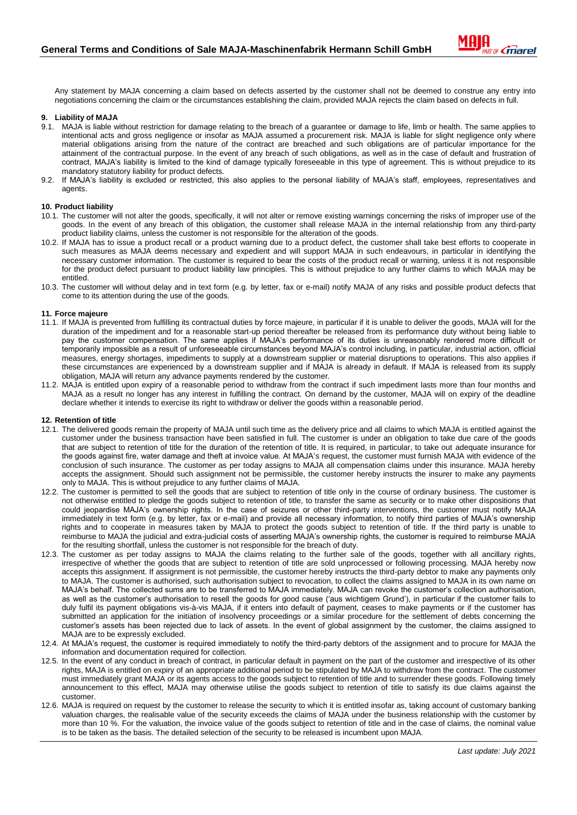Any statement by MAJA concerning a claim based on defects asserted by the customer shall not be deemed to construe any entry into negotiations concerning the claim or the circumstances establishing the claim, provided MAJA rejects the claim based on defects in full.

## **9. Liability of MAJA**

- 9.1. MAJA is liable without restriction for damage relating to the breach of a guarantee or damage to life, limb or health. The same applies to intentional acts and gross negligence or insofar as MAJA assumed a procurement risk. MAJA is liable for slight negligence only where material obligations arising from the nature of the contract are breached and such obligations are of particular importance for the attainment of the contractual purpose. In the event of any breach of such obligations, as well as in the case of default and frustration of contract, MAJA's liability is limited to the kind of damage typically foreseeable in this type of agreement. This is without prejudice to its mandatory statutory liability for product defects.
- 9.2. If MAJA's liability is excluded or restricted, this also applies to the personal liability of MAJA's staff, employees, representatives and agents.

## **10. Product liability**

- 10.1. The customer will not alter the goods, specifically, it will not alter or remove existing warnings concerning the risks of improper use of the goods. In the event of any breach of this obligation, the customer shall release MAJA in the internal relationship from any third-party product liability claims, unless the customer is not responsible for the alteration of the goods.
- 10.2. If MAJA has to issue a product recall or a product warning due to a product defect, the customer shall take best efforts to cooperate in such measures as MAJA deems necessary and expedient and will support MAJA in such endeavours, in particular in identifying the necessary customer information. The customer is required to bear the costs of the product recall or warning, unless it is not responsible for the product defect pursuant to product liability law principles. This is without prejudice to any further claims to which MAJA may be entitled.
- 10.3. The customer will without delay and in text form (e.g. by letter, fax or e-mail) notify MAJA of any risks and possible product defects that come to its attention during the use of the goods.

#### **11. Force majeure**

- 11.1. If MAJA is prevented from fulfilling its contractual duties by force majeure, in particular if it is unable to deliver the goods, MAJA will for the duration of the impediment and for a reasonable start-up period thereafter be released from its performance duty without being liable to pay the customer compensation. The same applies if MAJA's performance of its duties is unreasonably rendered more difficult or temporarily impossible as a result of unforeseeable circumstances beyond MAJA's control including, in particular, industrial action, official measures, energy shortages, impediments to supply at a downstream supplier or material disruptions to operations. This also applies if these circumstances are experienced by a downstream supplier and if MAJA is already in default. If MAJA is released from its supply obligation, MAJA will return any advance payments rendered by the customer.
- 11.2. MAJA is entitled upon expiry of a reasonable period to withdraw from the contract if such impediment lasts more than four months and MAJA as a result no longer has any interest in fulfilling the contract. On demand by the customer, MAJA will on expiry of the deadline declare whether it intends to exercise its right to withdraw or deliver the goods within a reasonable period.

#### **12. Retention of title**

- 12.1. The delivered goods remain the property of MAJA until such time as the delivery price and all claims to which MAJA is entitled against the customer under the business transaction have been satisfied in full. The customer is under an obligation to take due care of the goods that are subject to retention of title for the duration of the retention of title. It is required, in particular, to take out adequate insurance for the goods against fire, water damage and theft at invoice value. At MAJA's request, the customer must furnish MAJA with evidence of the conclusion of such insurance. The customer as per today assigns to MAJA all compensation claims under this insurance. MAJA hereby accepts the assignment. Should such assignment not be permissible, the customer hereby instructs the insurer to make any payments only to MAJA. This is without prejudice to any further claims of MAJA.
- 12.2. The customer is permitted to sell the goods that are subject to retention of title only in the course of ordinary business. The customer is not otherwise entitled to pledge the goods subject to retention of title, to transfer the same as security or to make other dispositions that could jeopardise MAJA's ownership rights. In the case of seizures or other third-party interventions, the customer must notify MAJA immediately in text form (e.g. by letter, fax or e-mail) and provide all necessary information, to notify third parties of MAJA's ownership rights and to cooperate in measures taken by MAJA to protect the goods subject to retention of title. If the third party is unable to reimburse to MAJA the judicial and extra-judicial costs of asserting MAJA's ownership rights, the customer is required to reimburse MAJA for the resulting shortfall, unless the customer is not responsible for the breach of duty.
- 12.3. The customer as per today assigns to MAJA the claims relating to the further sale of the goods, together with all ancillary rights, irrespective of whether the goods that are subject to retention of title are sold unprocessed or following processing. MAJA hereby now accepts this assignment. If assignment is not permissible, the customer hereby instructs the third-party debtor to make any payments only to MAJA. The customer is authorised, such authorisation subject to revocation, to collect the claims assigned to MAJA in its own name on MAJA's behalf. The collected sums are to be transferred to MAJA immediately. MAJA can revoke the customer's collection authorisation, as well as the customer's authorisation to resell the goods for good cause ('aus wichtigem Grund'), in particular if the customer fails to duly fulfil its payment obligations vis-à-vis MAJA, if it enters into default of payment, ceases to make payments or if the customer has submitted an application for the initiation of insolvency proceedings or a similar procedure for the settlement of debts concerning the customer's assets has been rejected due to lack of assets. In the event of global assignment by the customer, the claims assigned to MAJA are to be expressly excluded.
- 12.4. At MAJA's request, the customer is required immediately to notify the third-party debtors of the assignment and to procure for MAJA the information and documentation required for collection.
- 12.5. In the event of any conduct in breach of contract, in particular default in payment on the part of the customer and irrespective of its other rights, MAJA is entitled on expiry of an appropriate additional period to be stipulated by MAJA to withdraw from the contract. The customer must immediately grant MAJA or its agents access to the goods subject to retention of title and to surrender these goods. Following timely announcement to this effect, MAJA may otherwise utilise the goods subject to retention of title to satisfy its due claims against the customer.
- 12.6. MAJA is required on request by the customer to release the security to which it is entitled insofar as, taking account of customary banking valuation charges, the realisable value of the security exceeds the claims of MAJA under the business relationship with the customer by more than 10 %. For the valuation, the invoice value of the goods subject to retention of title and in the case of claims, the nominal value is to be taken as the basis. The detailed selection of the security to be released is incumbent upon MAJA.